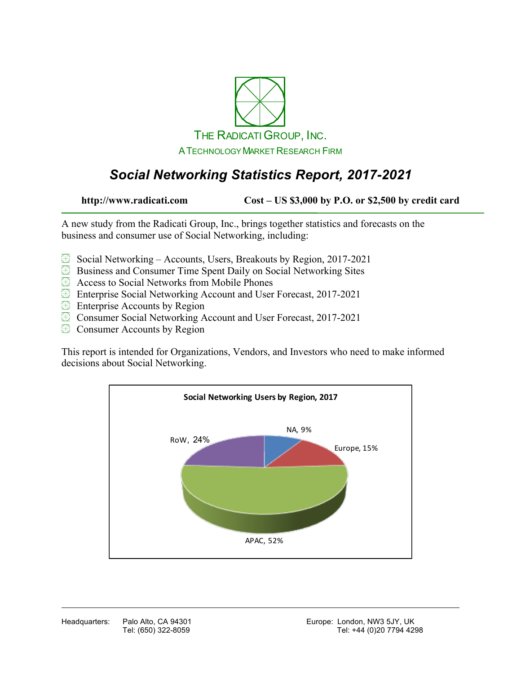

# *Social Networking Statistics Report, 2017-2021*

**http://www.radicati.com Cost – US \$3,000 by P.O. or \$2,500 by credit card**

A new study from the Radicati Group, Inc., brings together statistics and forecasts on the business and consumer use of Social Networking, including:

- Social Networking Accounts, Users, Breakouts by Region, 2017-2021
- Business and Consumer Time Spent Daily on Social Networking Sites
- **Access to Social Networks from Mobile Phones**
- Enterprise Social Networking Account and User Forecast, 2017-2021
- **Enterprise Accounts by Region**
- **EX** Consumer Social Networking Account and User Forecast, 2017-2021
- **EX** Consumer Accounts by Region

This report is intended for Organizations, Vendors, and Investors who need to make informed decisions about Social Networking.

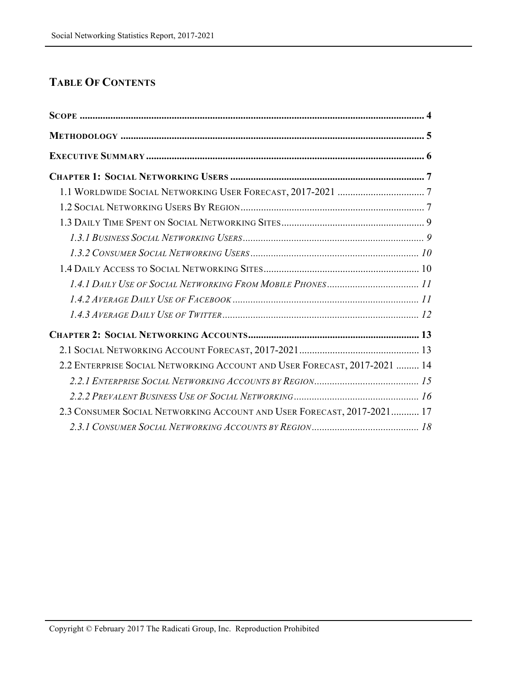## **TABLE OF CONTENTS**

| 2.2 ENTERPRISE SOCIAL NETWORKING ACCOUNT AND USER FORECAST, 2017-2021  14 |  |
|---------------------------------------------------------------------------|--|
|                                                                           |  |
|                                                                           |  |
| 2.3 CONSUMER SOCIAL NETWORKING ACCOUNT AND USER FORECAST, 2017-2021 17    |  |
|                                                                           |  |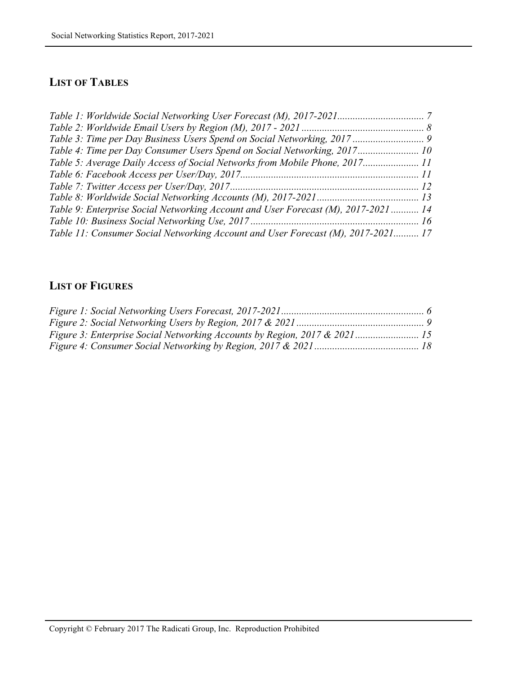### **LIST OF TABLES**

| Table 4: Time per Day Consumer Users Spend on Social Networking, 2017 10           |  |
|------------------------------------------------------------------------------------|--|
| Table 5: Average Daily Access of Social Networks from Mobile Phone, 2017 11        |  |
|                                                                                    |  |
|                                                                                    |  |
|                                                                                    |  |
| Table 9: Enterprise Social Networking Account and User Forecast (M), 2017-2021  14 |  |
|                                                                                    |  |
| Table 11: Consumer Social Networking Account and User Forecast (M), 2017-2021 17   |  |

#### **LIST OF FIGURES**

| Figure 3: Enterprise Social Networking Accounts by Region, 2017 & 2021 15 |  |
|---------------------------------------------------------------------------|--|
|                                                                           |  |